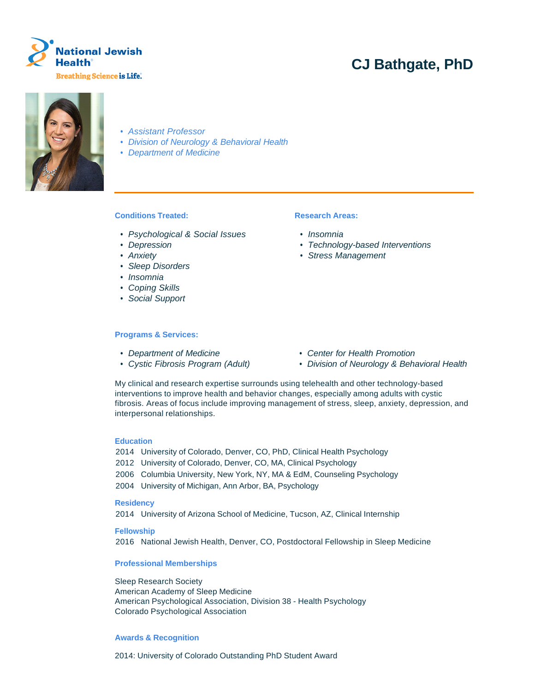

# **CJ Bathgate, PhD**



- Assistant Professor
- Division of Neurology & Behavioral Health
- Department of Medicine

# **Conditions Treated:**

- Psychological & Social Issues
- Depression
- Anxiety
- Sleep Disorders
- Insomnia
- Coping Skills
- Social Support

#### **Programs & Services:**

- 
- 

# **Research Areas:**

- Insomnia
- Technology-based Interventions
- Stress Management

- Department of Medicine Center for Health Promotion
- Cystic Fibrosis Program (Adult) Division of Neurology & Behavioral Health

My clinical and research expertise surrounds using telehealth and other technology-based interventions to improve health and behavior changes, especially among adults with cystic fibrosis. Areas of focus include improving management of stress, sleep, anxiety, depression, and interpersonal relationships.

#### **Education**

- 2014 University of Colorado, Denver, CO, PhD, Clinical Health Psychology
- 2012 University of Colorado, Denver, CO, MA, Clinical Psychology
- 2006 Columbia University, New York, NY, MA & EdM, Counseling Psychology
- 2004 University of Michigan, Ann Arbor, BA, Psychology

### **Residency**

2014 University of Arizona School of Medicine, Tucson, AZ, Clinical Internship

**Fellowship**

2016 National Jewish Health, Denver, CO, Postdoctoral Fellowship in Sleep Medicine

## **Professional Memberships**

Sleep Research Society American Academy of Sleep Medicine American Psychological Association, Division 38 - Health Psychology Colorado Psychological Association

#### **Awards & Recognition**

2014: University of Colorado Outstanding PhD Student Award